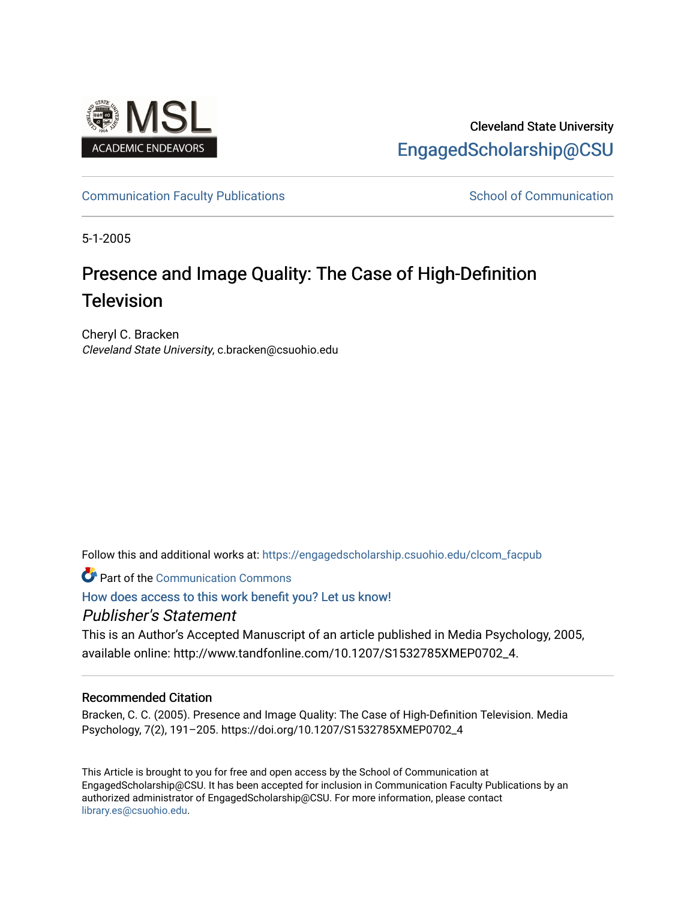

## Cleveland State University [EngagedScholarship@CSU](https://engagedscholarship.csuohio.edu/)

## [Communication Faculty Publications](https://engagedscholarship.csuohio.edu/clcom_facpub) **School of Communication** School of Communication

5-1-2005

# Presence and Image Quality: The Case of High-Definition **Television**

Cheryl C. Bracken Cleveland State University, c.bracken@csuohio.edu

Follow this and additional works at: [https://engagedscholarship.csuohio.edu/clcom\\_facpub](https://engagedscholarship.csuohio.edu/clcom_facpub?utm_source=engagedscholarship.csuohio.edu%2Fclcom_facpub%2F25&utm_medium=PDF&utm_campaign=PDFCoverPages) 

Part of the [Communication Commons](http://network.bepress.com/hgg/discipline/325?utm_source=engagedscholarship.csuohio.edu%2Fclcom_facpub%2F25&utm_medium=PDF&utm_campaign=PDFCoverPages) 

[How does access to this work benefit you? Let us know!](http://library.csuohio.edu/engaged/)

## Publisher's Statement

This is an Author's Accepted Manuscript of an article published in Media Psychology, 2005, available online: http://www.tandfonline.com/10.1207/S1532785XMEP0702\_4.

## Recommended Citation

Bracken, C. C. (2005). Presence and Image Quality: The Case of High-Definition Television. Media Psychology, 7(2), 191–205. https://doi.org/10.1207/S1532785XMEP0702\_4

This Article is brought to you for free and open access by the School of Communication at EngagedScholarship@CSU. It has been accepted for inclusion in Communication Faculty Publications by an authorized administrator of EngagedScholarship@CSU. For more information, please contact [library.es@csuohio.edu.](mailto:library.es@csuohio.edu)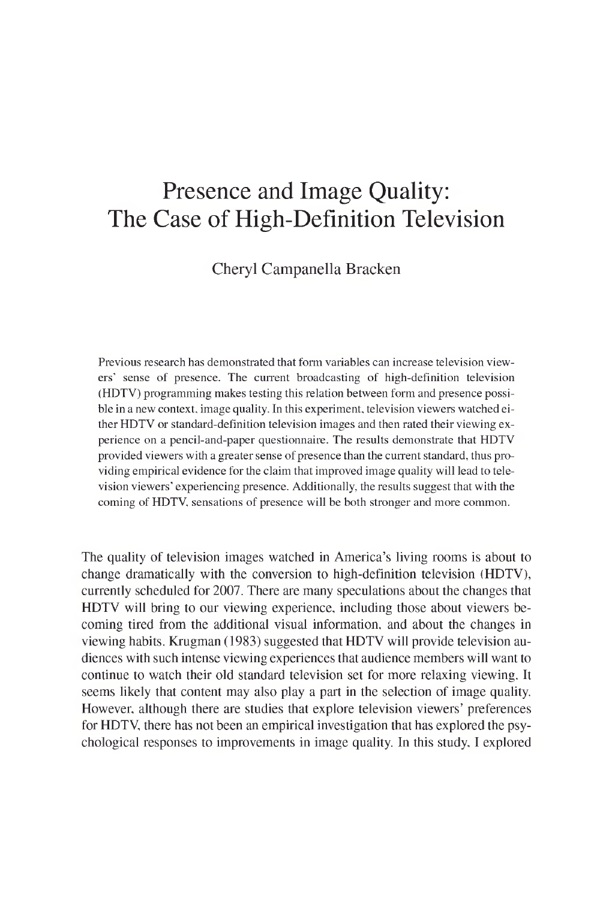## Presence and Image Quality: The Case of High-Definition Television

Cheryl Campanella Bracken

Previous research has demonstrated that form variables can increase television viewers" sense of presence. The current broadcasting of high-definition television (HDTV) programming makes testing this relation between form and presence possible in a new context, image quality. In this experiment, television viewers watched either HDTV or standard-definition television images and then rated their viewing experience on a pencil-and-paper questionnaire. The results demonstrate that HDTV provided viewers with a greater sense of presence than the current standard, thus providing empirical evidence for the claim that improved image quality will lead to television viewers" experiencing presence. Additionally, the results suggest that with the coming of HDTV, sensations of presence will be both stronger and more common.

The quality of television images watched in America's living rooms is about to change dramatically with the conversion to high-definition television (HDTV), currently scheduled for 2007. There are many speculations about the changes that HDTV will bring to our viewing experience, including those about viewers becoming tired from the additional visual information, and about the changes in viewing habits. Krugman (1983) suggested that HDTV will provide television audiences with such intense viewing experiences that audience members will want to continue to watch their old standard television set for more relaxing viewing. It seems likely that content may also play a part in the selection of image quality. However, although there are studies that explore television viewers' preferences for HDTV, there has not been an empirical investigation that has explored the psychological responses to improvements in image quality. In this study, I explored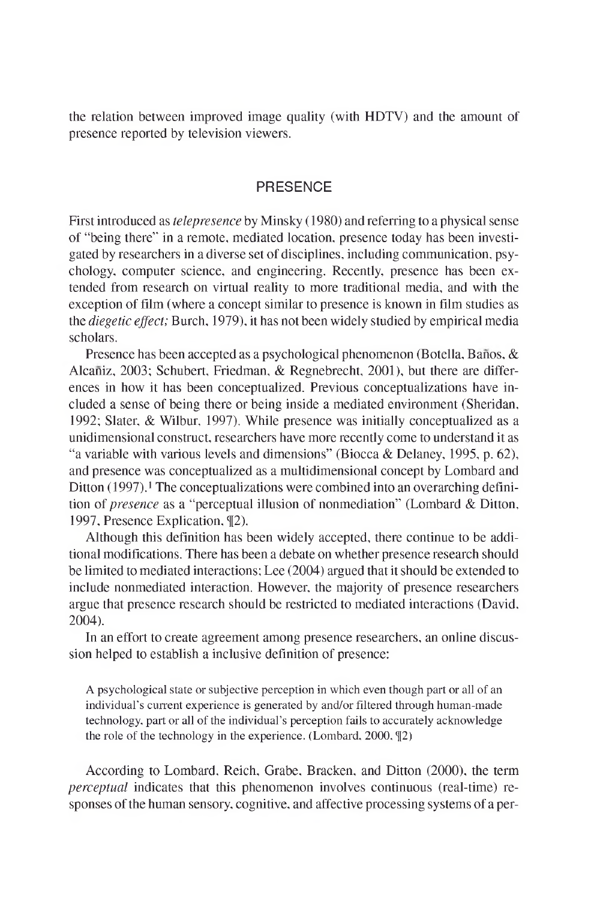the relation between improved image quality (with HDTV) and the amount of presence reported by television viewers.

## PRESENCE

First introduced as *telepresence* by Minsky (1980) and referring to a physical sense of "being there'' in a remote, mediated location, presence today has been investigated by researchers in a diverse set of disciplines, including communication, psychology, computer science, and engineering. Recently, presence has been extended from research on virtual reality to more traditional media, and with the exception of film (where a concept similar to presence is known in film studies as the *diegetic effect;* Burch, 1979), it has not been widely studied by empirical media scholars.

Presence has been accepted as a psychological phenomenon (Botella, Baños, & Alcaniz, 2003; Schubert, Friedman, & Regnebrecht, 2001), but there are differences in how it has been conceptualized. Previous conceptualizations have included a sense of being there or being inside a mediated environment (Sheridan, 1992; Slater, & Wilbur, 1997). While presence was initially conceptualized as a unidimensional construct, researchers have more recently come to understand it as "a variable with various levels and dimensions" (Biocca & Delaney, 1995, p. 62), and presence was conceptualized as a multidimensional concept by Lombard and Ditton  $(1997)$ .<sup>1</sup> The conceptualizations were combined into an overarching definition of *presence* as a "perceptual illusion of nonmediation" (Lombard & Ditton, 1997, Presence Explication,  $\P$ 2).

Although this definition has been widely accepted, there continue to be additional modifications. There has been a debate on whether presence research should be limited to mediated interactions; Lee (2004) argued that it should be extended to include nonmediated interaction. However, the majority of presence researchers argue that presence research should be restricted to mediated interactions (David, 2004).

In an effort to create agreement among presence researchers, an online discussion helped to establish a inclusive definition of presence:

A psychological state or subjective perception in which even though part or all of an individual's current experience is generated by and/or filtered through human-made technology, part or all of the individual's perception fails to accurately acknowledge the role of the technology in the experience. (Lombard, 2000, ¶2)

According to Lombard, Reich, Grabe, Bracken, and Ditton (2000), the term *perceptual* indicates that this phenomenon involves continuous (real-time) responses ofthe human sensory, cognitive, and affective processing systems of a per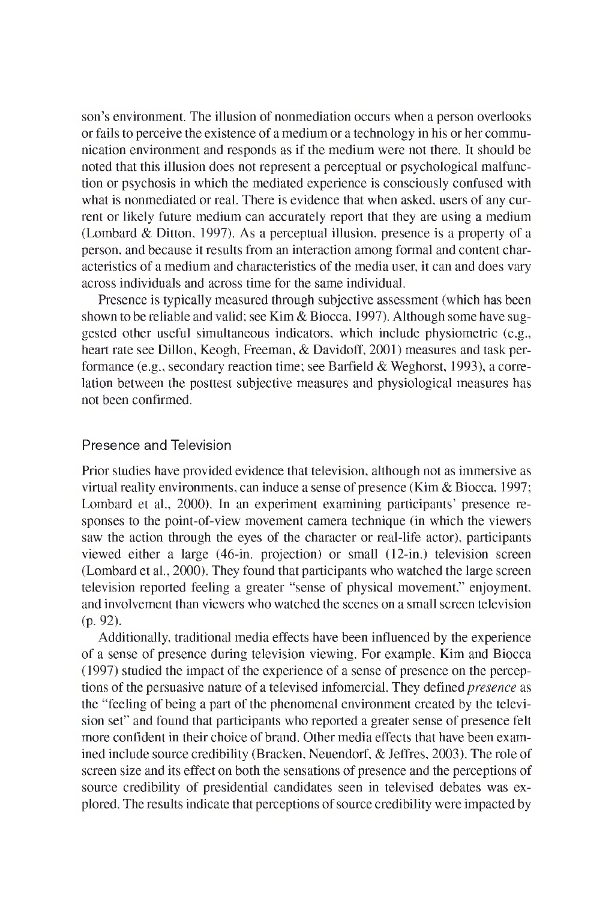son's environment. The illusion of nonmediation occurs when a person overlooks or fails to perceive the existence of a medium or a technology in his or her communication environment and responds as if the medium were not there. It should be noted that this illusion does not represent a perceptual or psychological malfunction or psychosis in which the mediated experience is consciously confused with what is nonmediated or real. There is evidence that when asked, users of any current or likely future medium can accurately report that they are using a medium (Lombard & Ditton. 1997). As a perceptual illusion, presence is a property of a person, and because it results from an interaction among formal and content characteristics of a medium and characteristics of the media user, it can and does vary across individuals and across time for the same individual.

Presence is typically measured through subjective assessment (which has been shown to be reliable and valid; see Kim & Biocca, 1997). Although some have suggested other useful simultaneous indicators, which include physiometric (e.g., heart rate see Dillon, Keogh, Freeman, & Davidoff, 2001) measures and task performance (e.g., secondary reaction time; see Barfield & Weghorst, 1993), a correlation between the posttest subjective measures and physiological measures has not been confirmed.

## Presence and Television

Prior studies have provided evidence that television, although not as immersive as virtual reality environments, can induce a sense of presence (Kim & Biocca, 1997; Lombard et al., 2000). In an experiment examining participants' presence responses to the point-of-view movement camera technique (in which the viewers saw the action through the eyes of the character or real-life actor), participants viewed either a large (46-in. projection) or small (12-in.) television screen (Lombard et al., 2000). They found that participants who watched the large screen television reported feeling a greater "sense of physical movement,'' enjoyment, and involvement than viewers who watched the scenes on a small screen television (p. 92).

Additionally, traditional media effects have been influenced by the experience of a sense of presence during television viewing. For example, Kim and Biocca (1997) studied the impact of the experience of a sense of presence on the perceptions of the persuasive nature of a televised infomercial. They defined *presence* as the "feeling of being a part of the phenomenal environment created by the television set'' and found that participants who reported a greater sense of presence felt more confident in their choice of brand. Other media effects that have been examined include source credibility (Bracken, Neuendorf, & Jeffres, 2003). The role of screen size and its effect on both the sensations of presence and the perceptions of source credibility of presidential candidates seen in televised debates was explored. The results indicate that perceptions ofsource credibility were impacted by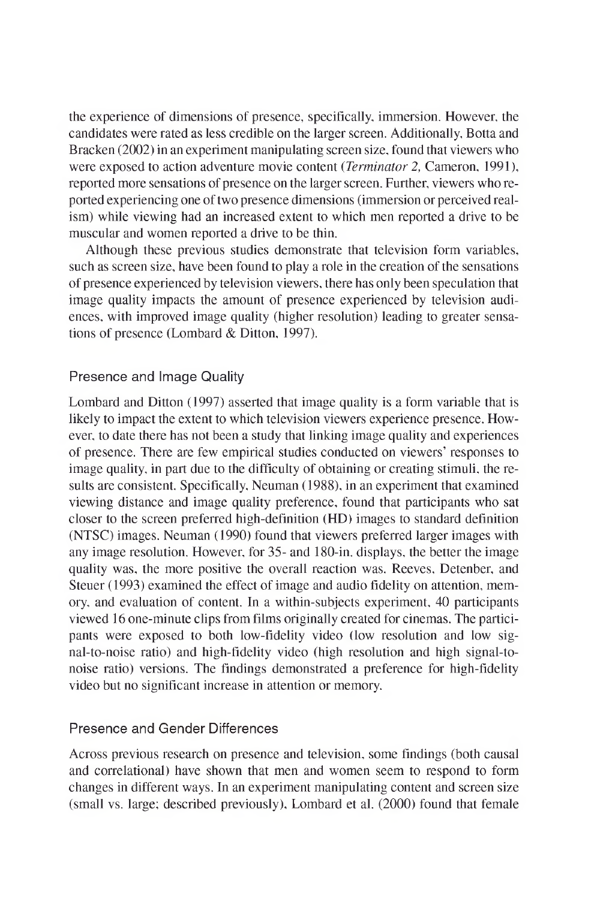the experience of dimensions of presence, specifically, immersion. However, the candidates were rated as less credible on the larger screen. Additionally, Botta and Bracken (2002) in an experiment manipulating screen size, found that viewers who were exposed to action adventure movie content *(Terminator 2,* Cameron, 1991), reported more sensations of presence on the larger screen. Further, viewers who reported experiencing one of two presence dimensions (immersion or perceived realism) while viewing had an increased extent to which men reported a drive to be muscular and women reported a drive to be thin.

Although these previous studies demonstrate that television form variables, such as screen size, have been found to play a role in the creation of the sensations of presence experienced by television viewers, there has only been speculation that image quality impacts the amount of presence experienced by television audiences, with improved image quality (higher resolution) leading to greater sensations of presence (Lombard & Ditton, 1997).

## Presence and Image Quality

Lombard and Ditton (1997) asserted that image quality is a form variable that is likely to impact the extent to which television viewers experience presence. However, to date there has not been a study that linking image quality and experiences of presence. There are few empirical studies conducted on viewers' responses to image quality, in part due to the difficulty of obtaining or creating stimuli, the results are consistent. Specifically, Neuman (1988), in an experiment that examined viewing distance and image quality preference, found that participants who sat closer to the screen preferred high-definition (HD) images to standard definition (NTSC) images. Neuman (1990) found that viewers preferred larger images with any image resolution. However, for 35- and 180-in. displays, the better the image quality was, the more positive the overall reaction was. Reeves, Detenber, and Steuer (1993) examined the effect of image and audio fidelity on attention, memory, and evaluation of content. In a within-subjects experiment, 40 participants viewed 16 one-minute clips from films originally created for cinemas. The participants were exposed to both low-fidelity video (low resolution and low signal-to-noise ratio) and high-fidelity video (high resolution and high signal-tonoise ratio) versions. The findings demonstrated a preference for high-fidelity video but no significant increase in attention or memory.

## Presence and Gender Differences

Across previous research on presence and television, some findings (both causal and correlational) have shown that men and women seem to respond to form changes in different ways. In an experiment manipulating content and screen size (small vs. large; described previously), Lombard et al. (2000) found that female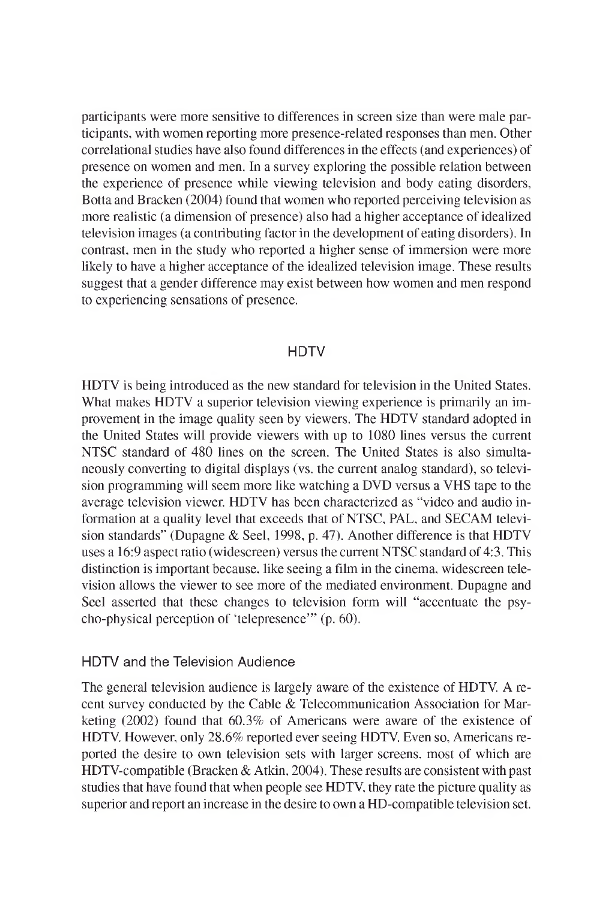participants were more sensitive to differences in screen size than were male participants, with women reporting more presence-related responses than men. Other correlational studies have also found differences in the effects (and experiences) of presence on women and men. In a survey exploring the possible relation between the experience of presence while viewing television and body eating disorders, Botta and Bracken (2004) found that women who reported perceiving television as more realistic (a dimension of presence) also had a higher acceptance of idealized television images (a contributing factor in the development of eating disorders). In contrast, men in the study who reported a higher sense of immersion were more likely to have a higher acceptance of the idealized television image. These results suggest that a gender difference may exist between how women and men respond to experiencing sensations of presence.

### **HDTV**

HDTV is being introduced as the new standard for television in the United States. What makes HDTV a superior television viewing experience is primarily an improvement in the image quality seen by viewers. The HDTV standard adopted in the United States will provide viewers with up to 1080 lines versus the current NTSC standard of 480 lines on the screen. The United States is also simultaneously converting to digital displays (vs. the current analog standard), so television programming will seem more like watching a DVD versus a VHS tape to the average television viewer. HDTV has been characterized as "video and audio information at a quality level that exceeds that of NTSC, PAL, and SECAM television standards'' (Dupagne & Seel, 1998, p. 47). Another difference is that HDTV uses a 16:9 aspect ratio (widescreen) versus the current NTSC standard of 4:3. This distinction is important because, like seeing a film in the cinema, widescreen television allows the viewer to see more of the mediated environment. Dupagne and Seel asserted that these changes to television form will "accentuate the psycho-physical perception of 'telepresence'" (ρ. 60).

#### HDTV and the Television Audience

The general television audience is largely aware of the existence of HDTV. A recent survey conducted by the Cable & Telecommunication Association for Marketing (2002) found that 60.3% of Americans were aware of the existence of HDTV. However, only 28.6% reported ever seeing HDTV. Even so, Americans reported the desire to own television sets with larger screens, most of which are HDTV-compatible (Bracken & Atkin, 2004). These results are consistent with past studies that have found that when people see HDTV, they rate the picture quality as superior and report an increase in the desire to own a HD-compatible television set.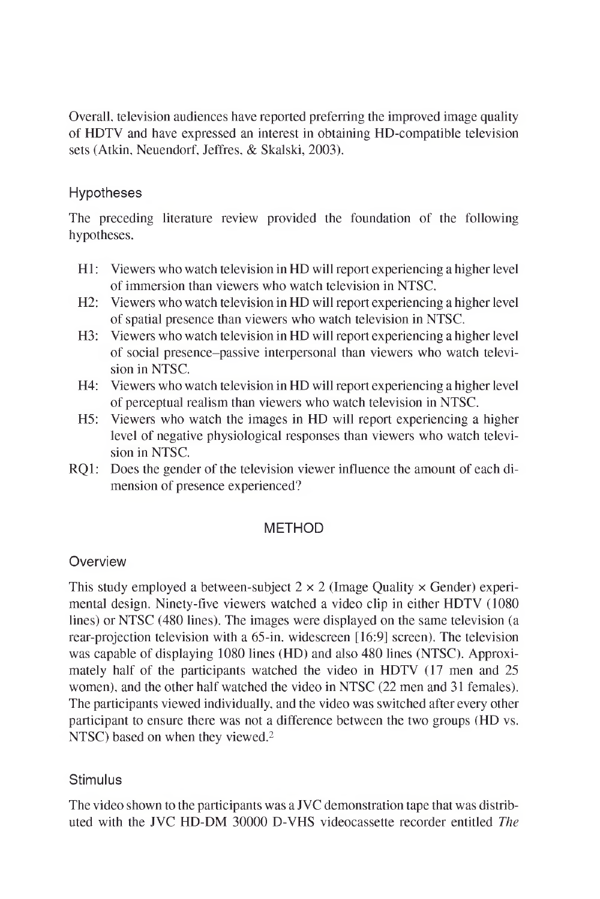Overall, television audiences have reported preferring the improved image quality of HDTV and have expressed an interest in obtaining HD-compatible television sets (Atkin, Neuendorf, Jeffres, & Skalski, 2003).

## Hypotheses

The preceding literature review provided the foundation of the following hypotheses.

- H1: Viewers who watch television in HD will report experiencing a higher level of immersion than viewers who watch television in NTSC.
- H2: Viewers who watch television in HD will report experiencing a higher level of spatial presence than viewers who watch television in NTSC.
- H3: Viewers who watch television in HD will report experiencing a higher level of social presence-passive interpersonal than viewers who watch television in NTSC.
- H4: Viewers who watch television in HD will report experiencing a higher level of perceptual realism than viewers who watch television in NTSC.
- H5: Viewers who watch the images in HD will report experiencing a higher level of negative physiological responses than viewers who watch television in NTSC.
- RQ1: Does the gender of the television viewer influence the amount of each dimension of presence experienced?

## METHOD

## **Overview**

This study employed a between-subject  $2 \times 2$  (Image Quality  $\times$  Gender) experimental design. Ninety-five viewers watched a video clip in either HDTV (1080 lines) or NTSC (480 lines). The images were displayed on the same television (a rear-projection television with a 65-in. widescreen [16:9] screen). The television was capable of displaying 1080 lines (HD) and also 480 lines (NTSC). Approximately half of the participants watched the video in HDTV (17 men and 25 women), and the other half watched the video in NTSC (22 men and 31 females). The participants viewed individually, and the video was switched after every other participant to ensure there was not a difference between the two groups (HD vs. NTSC) based on when they viewed.<sup>2</sup>

## **Stimulus**

The video shown to the participants was a JVC demonstration tape that was distributed with the JVC HD-DM 30000 D-VHS videocassette recorder entitled *The*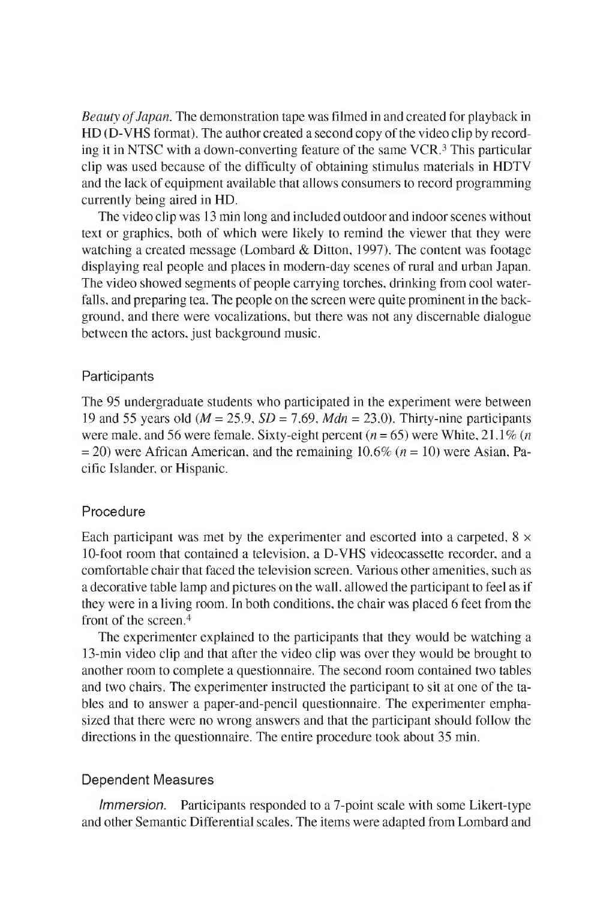*Beauty ofJapan.* The demonstration tape was filmed in and created for playback in HD (D-VHS format). The author created a second copy of the video clip by recording it in NTSC with a down-converting feature of the same VCR.3 This particular clip was used because of the difficulty of obtaining stimulus materials in HDTV and the lack of equipment available that allows consumers to record programming currently being aired in HD.

The video clip was 13 min long and included outdoor and indoor scenes without text or graphics, both of which were likely to remind the viewer that they were watching a created message (Lombard & Ditton, 1997). The content was footage displaying real people and places in modern-day scenes of rural and urban Japan. The video showed segments of people carrying torches, drinking from cool waterfalls, and preparing tea. The people on the screen were quite prominent in the background, and there were vocalizations, but there was not any discernable dialogue between the actors, just background music.

## **Participants**

The 95 undergraduate students who participated in the experiment were between 19 and 55 years old *(M =* 25.9, *SD =* 7.69, *Mdn =* 23.0). Thirty-nine participants were male, and 56 were female. Sixty-eight percent (*n* = 65) were White, 21.1% (*n*  $= 20$ ) were African American, and the remaining 10.6% ( $n = 10$ ) were Asian, Pacific Islander, or Hispanic.

## Procedure

Each participant was met by the experimenter and escorted into a carpeted,  $8 \times$ 10-foot room that contained a television, a D-VHS videocassette recorder, and a comfortable chair that faced the television screen. Various other amenities, such as a decorative table lamp and pictures on the wall, allowed the participant to feel as if they were in a living room. In both conditions, the chair was placed 6 feet from the front of the screen.4

The experimenter explained to the participants that they would be watching a 13-min video clip and that after the video clip was over they would be brought to another room to complete a questionnaire. The second room contained two tables and two chairs. The experimenter instructed the participant to sit at one of the tables and to answer a paper-and-pencil questionnaire. The experimenter emphasized that there were no wrong answers and that the participant should follow the directions in the questionnaire. The entire procedure took about 35 min.

## Dependent Measures

*Immersion.* Participants responded to a 7-point scale with some Likert-type and other Semantic Differential scales. The items were adapted from Lombard and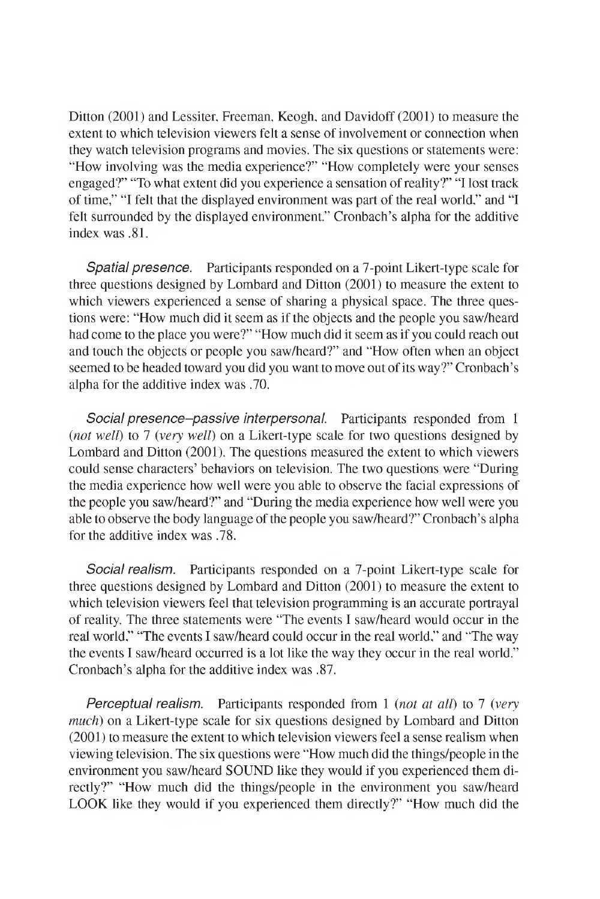Ditton (2001) and Lessiter, Freeman, Keogh, and Davidoff (2001) to measure the extent to which television viewers felt a sense of involvement or connection when they watch television programs and movies. The six questions or statements were: "How involving was the media experience?" "How completely were your senses engaged?" "To what extent did you experience a sensation of reality?" "I lost track of time," "I felt that the displayed environment was part of the real world," and "I felt surrounded by the displayed environment." Cronbach's alpha for the additive index was .81.

*Spatial presence.* Participants responded on a 7-point Likert-type scale for three questions designed by Lombard and Ditton (2001) to measure the extent to which viewers experienced a sense of sharing a physical space. The three questions were: "How much did it seem as ifthe objects and the people you saw/heard had come to the place you were?" "How much did it seem as if you could reach out and touch the objects or people you saw/heard?" and "How often when an object seemed to be headed toward you did you want to move out of its way?" Cronbach's alpha for the additive index was .70.

*Social presence-passive interpersonal.* Participants responded from <sup>1</sup> *(not well)* to 7 *(very well)* on a Likert-type scale for two questions designed by Lombard and Ditton (2001). The questions measured the extent to which viewers could sense characters' behaviors on television. The two questions were "During the media experience how well were you able to observe the facial expressions of the people you saw/heard?" and "During the media experience how well were you able to observe the body language of the people you saw/heard?" Cronbach's alpha for the additive index was .78.

*Social realism.* Participants responded on a 7-ρoint Likert-type scale for three questions designed by Lombard and Ditton (2001) to measure the extent to which television viewers feel that television programming is an accurate portrayal of reality. The three statements were "The events I saw/heard would occur in the real world." "The events I saw/heard could occur in the real world," and "The way the events I saw/heard occurred is a lot like the way they occur in the real world." Cronbach's alpha for the additive index was .87.

*Perceptual realism.* Participants responded from <sup>1</sup> *(not at all)* to 7 (very *much)* on a Likert-type scale for six questions designed by Lombard and Ditton (2001) to measure the extent to which television viewers feel a sense realism when viewing television. The six questions were "How much did the things/people in the environment you saw/heard SOUND like they would if you experienced them directly?" "How much did the things/people in the environment you saw/heard LOOK like they would if you experienced them directly?" "How much did the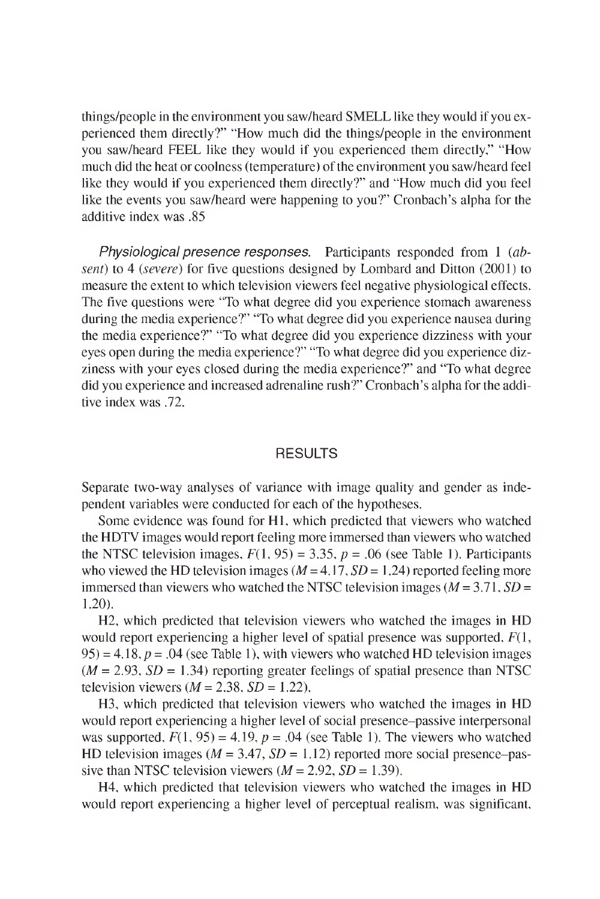things/people in the environment you saw/heard SMELL like they would if you experienced them directly?" "How much did the things/people in the environment you saw/heard FEEL like they would if you experienced them directly," "How much did the heat or coolness (temperature) of the environment you saw/heard feel like they would if you experienced them directly?" and "How much did you feel like the events you saw/heard were happening to you?" Cronbach's alpha for the additive index was .85

*Physiological presence responses.* Participants responded from <sup>1</sup> *(absent)* to 4 *(severe)* for five questions designed by Lombard and Ditton (2001) to measure the extent to which television viewers feel negative physiological effects. The five questions were "To what degree did you experience stomach awareness during the media experience?" "To what degree did you experience nausea during the media experience?" "To what degree did you experience dizziness with your eyes open during the media experience?" "To what degree did you experience dizziness with your eyes closed during the media experience?" and "To what degree did you experience and increased adrenaline rush?" Cronbach's alpha for the additive index was .72.

## RESULTS

Separate two-way analyses of variance with image quality and gender as independent variables were conducted for each of the hypotheses.

Some evidence was found for Hl, which predicted that viewers who watched the HDTV images would report feeling more immersed than viewers who watched the NTSC television images,  $F(1, 95) = 3.35$ ,  $p = .06$  (see Table 1). Participants who viewed the HD television images ( $M = 4.17$ ,  $SD = 1.24$ ) reported feeling more immersed than viewers who watched the NTSC television images  $(M = 3.71, SD =$ 1.20).

H2, which predicted that television viewers who watched the images in HD would report experiencing a higher level of spatial presence was supported,  $F(1, 1)$  $95$ ) = 4.18,  $p = 0.04$  (see Table 1), with viewers who watched HD television images  $(M = 2.93, SD = 1.34)$  reporting greater feelings of spatial presence than NTSC television viewers  $(M = 2.38, SD = 1.22)$ .

H3, which predicted that television viewers who watched the images in HD would report experiencing a higher level of social presence-passive interpersonal was supported,  $F(1, 95) = 4.19$ ,  $p = .04$  (see Table 1). The viewers who watched HD television images  $(M = 3.47, SD = 1.12)$  reported more social presence-passive than NTSC television viewers  $(M = 2.92, SD = 1.39)$ .

H4, which predicted that television viewers who watched the images in HD would report experiencing a higher level of perceptual realism, was significant.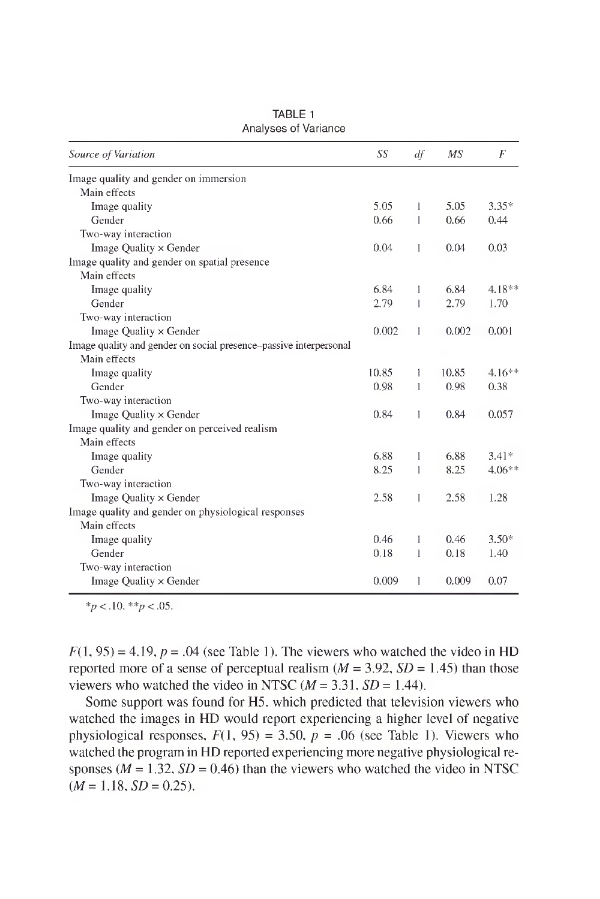| Source of Variation                                               | SS    | df | MS    | F        |
|-------------------------------------------------------------------|-------|----|-------|----------|
| Image quality and gender on immersion                             |       |    |       |          |
| Main effects                                                      |       |    |       |          |
| Image quality                                                     | 5.05  | 1  | 5.05  | $3.35*$  |
| Gender                                                            | 0.66  | 1  | 0.66  | 0.44     |
| Two-way interaction                                               |       |    |       |          |
| Image Quality $\times$ Gender                                     | 0.04  | 1  | 0.04  | 0.03     |
| Image quality and gender on spatial presence                      |       |    |       |          |
| Main effects                                                      |       |    |       |          |
| Image quality                                                     | 6.84  | 1  | 6.84  | $4.18**$ |
| Gender                                                            | 2.79  | 1  | 2.79  | 1.70     |
| Two-way interaction                                               |       |    |       |          |
| Image Quality $\times$ Gender                                     | 0.002 | 1  | 0.002 | 0.001    |
| Image quality and gender on social presence-passive interpersonal |       |    |       |          |
| Main effects                                                      |       |    |       |          |
| Image quality                                                     | 10.85 | 1  | 10.85 | $4.16**$ |
| Gender                                                            | 0.98  | 1  | 0.98  | 0.38     |
| Two-way interaction                                               |       |    |       |          |
| Image Quality × Gender                                            | 0.84  | 1  | 0.84  | 0.057    |
| Image quality and gender on perceived realism                     |       |    |       |          |
| Main effects                                                      |       |    |       |          |
| Image quality                                                     | 6.88  | 1  | 6.88  | $3.41*$  |
| Gender                                                            | 8.25  | 1  | 8.25  | $4.06**$ |
| Two-way interaction                                               |       |    |       |          |
| Image Quality × Gender                                            | 2.58  | 1  | 2.58  | 1.28     |
| Image quality and gender on physiological responses               |       |    |       |          |
| Main effects                                                      |       |    |       |          |
| Image quality                                                     | 0.46  | 1  | 0.46  | $3.50*$  |
| Gender                                                            | 0.18  | 1  | 0.18  | 1.40     |
| Two-way interaction                                               |       |    |       |          |
| Image Quality $\times$ Gender                                     | 0.009 | 1  | 0.009 | 0.07     |
|                                                                   |       |    |       |          |

TABLE <sup>1</sup> Analyses of Variance

 $**p*<10.**p*<0.05$ .

 $F(1, 95) = 4.19$ ,  $p = .04$  (see Table 1). The viewers who watched the video in HD reported more of a sense of perceptual realism  $(M = 3.92, SD = 1.45)$  than those viewers who watched the video in NTSC  $(M = 3.31, SD = 1.44)$ .

Some support was found for H5. which predicted that television viewers who watched the images in HD would report experiencing a higher level of negative physiological responses,  $F(1, 95) = 3.50$ ,  $p = .06$  (see Table 1). Viewers who watched the program in HD reported experiencing more negative physiological responses  $(M = 1.32, SD = 0.46)$  than the viewers who watched the video in NTSC  $(M = 1.18, SD = 0.25).$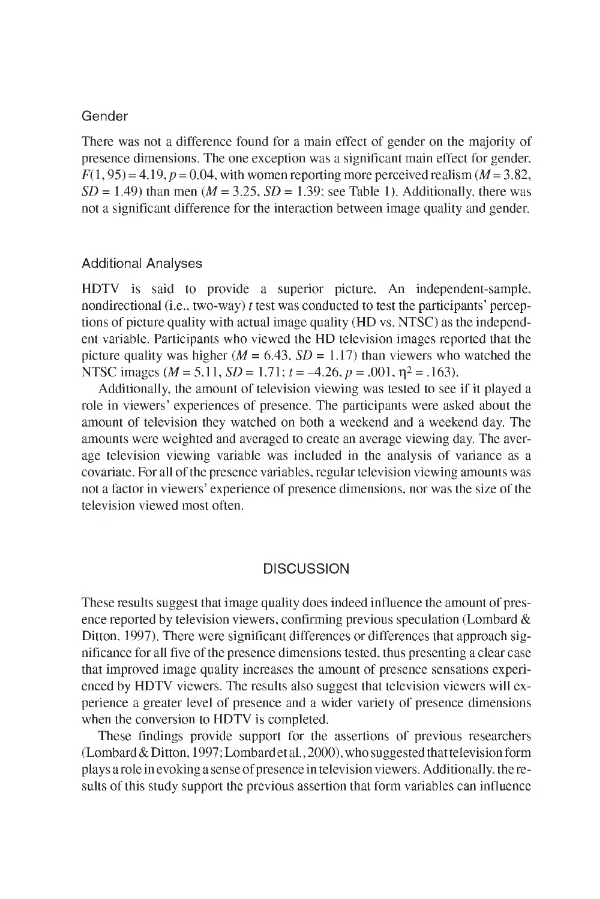### Gender

There was not a difference found for a main effect of gender on the majority of presence dimensions. The one exception was a significant main effect for gender,  $F(1, 95) = 4.19, p = 0.04$ , with women reporting more perceived realism  $(M = 3.82)$ ,  $SD = 1.49$ ) than men ( $M = 3.25$ ,  $SD = 1.39$ ; see Table 1). Additionally, there was not a significant difference for the interaction between image quality and gender.

#### Additional Analyses

HDTV is said to provide a superior picture. An independent-sample, nondirectional (i.e., two-way) *t* test was conducted to test the participants' perceptions of picture quality with actual image quality (HD vs. NTSC) as the independent variable. Participants who viewed the HD television images reported that the picture quality was higher  $(M = 6.43, SD = 1.17)$  than viewers who watched the NTSC images ( $M = 5.11$ ,  $SD = 1.71$ ;  $t = -4.26$ ,  $p = .001$ ,  $n^2 = .163$ ).

Additionally, the amount of television viewing was tested to see if it played a role in viewers' experiences of presence. The participants were asked about the amount of television they watched on both a weekend and a weekend day. The amounts were weighted and averaged to create an average viewing day. The average television viewing variable was included in the analysis of variance as a covariate. For all of the presence variables, regular television viewing amounts was not a factor in viewers' experience of presence dimensions, nor was the size of the television viewed most often.

## **DISCUSSION**

These results suggest that image quality does indeed influence the amount of presence reported by television viewers, confirming previous speculation (Lombard & Ditton, 1997). There were significant differences or differences that approach significance for all five of the presence dimensions tested, thus presenting a clear case that improved image quality increases the amount of presence sensations experienced by HDTV viewers. The results also suggest that television viewers will experience a greater level of presence and a wider variety of presence dimensions when the conversion to HDTV is completed.

These findings provide support for the assertions of previous researchers (Lombard&Ditton, 1997; Lombardet al., 2000), who suggested thattelevision form plays a role in evoking a sense of presence in television viewers. Additionally, the results of this study support the previous assertion that form variables can influence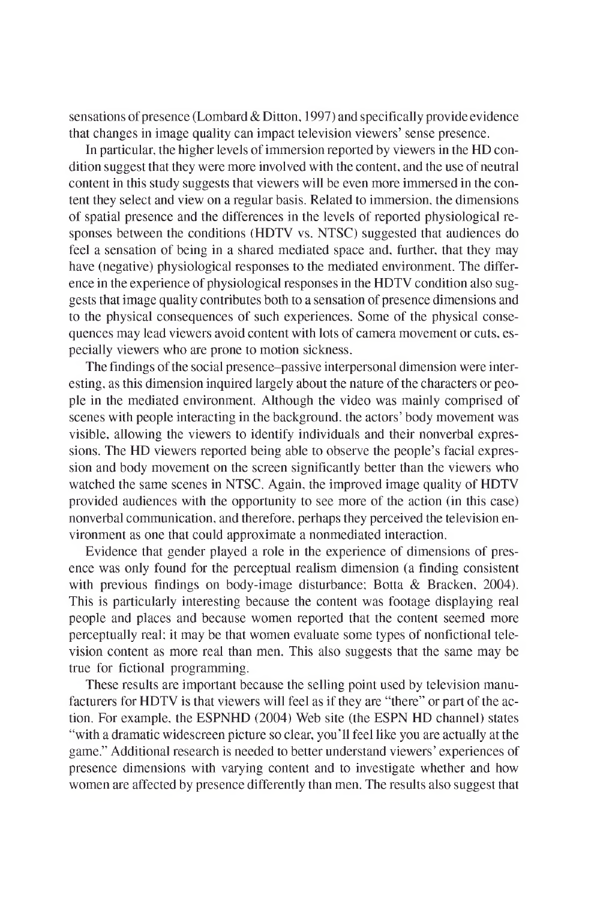sensations of presence (Lombard & Ditton, 1997) and specifically provide evidence that changes in image quality can impact television viewers' sense presence.

In particular, the higher levels of immersion reported by viewers in the HD condition suggest that they were more involved with the content, and the use of neutral content in this study suggests that viewers will be even more immersed in the content they select and view on a regular basis. Related to immersion, the dimensions of spatial presence and the differences in the levels of reported physiological responses between the conditions (HDTV vs. NTSC) suggested that audiences do feel a sensation of being in a shared mediated space and, further, that they may have (negative) physiological responses to the mediated environment. The difference in the experience of physiological responses in the HDTV condition also suggests that image quality contributes both to a sensation of presence dimensions and to the physical consequences of such experiences. Some of the physical consequences may lead viewers avoid content with lots of camera movement or cuts, especially viewers who are prone to motion sickness.

The findings of the social presence–passive interpersonal dimension were interesting, as this dimension inquired largely about the nature of the characters or people in the mediated environment. Although the video was mainly comprised of scenes with people interacting in the background, the actors' body movement was visible, allowing the viewers to identify individuals and their nonverbal expressions. The HD viewers reported being able to observe the people's facial expression and body movement on the screen significantly better than the viewers who watched the same scenes in NTSC. Again, the improved image quality of HDTV provided audiences with the opportunity to see more of the action (in this case) nonverbal communication, and therefore, perhaps they perceived the television environment as one that could approximate a nonmediated interaction.

Evidence that gender played a role in the experience of dimensions of presence was only found for the perceptual realism dimension (a finding consistent with previous findings on body-image disturbance; Botta & Bracken, 2004). This is particularly interesting because the content was footage displaying real people and places and because women reported that the content seemed more perceptually real; it may be that women evaluate some types of nonfictional television content as more real than men. This also suggests that the same may be true for fictional programming.

These results are important because the selling point used by television manufacturers for HDTV is that viewers will feel as if they are "there" or part of the action. For example, the ESPNHD (2004) Web site (the ESPN HD channel) states "with a dramatic widescreen picture so clear, you'll feel like you are actually at the game." Additional research is needed to better understand viewers' experiences of presence dimensions with varying content and to investigate whether and how women are affected by presence differently than men. The results also suggest that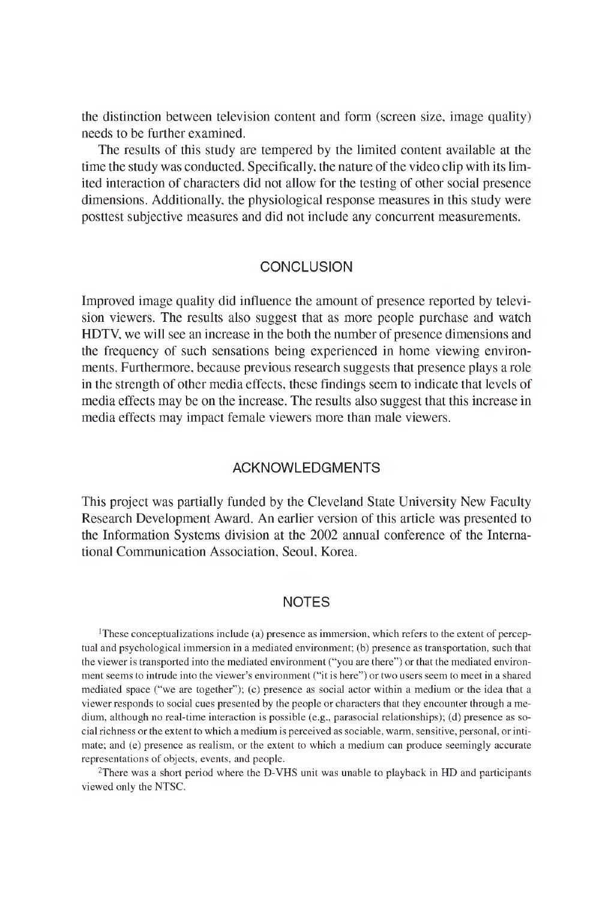the distinction between television content and form (screen size, image quality) needs to be further examined.

The results of this study are tempered by the limited content available at the time the study was conducted. Specifically, the nature of the video clip with its limited interaction of characters did not allow for the testing of other social presence dimensions. Additionally, the physiological response measures in this study were posttest subjective measures and did not include any concurrent measurements.

## **CONCLUSION**

Improved image quality did influence the amount of presence reported by television viewers. The results also suggest that as more people purchase and watch HDTV, we will see an increase in the both the number of presence dimensions and the frequency of such sensations being experienced in home viewing environments. Furthermore, because previous research suggests that presence plays a role in the strength of other media effects, these findings seem to indicate that levels of media effects may be on the increase. The results also suggest that this increase in media effects may impact female viewers more than male viewers.

#### ACKNOWLEDGMENTS

This project was partially funded by the Cleveland State University New Faculty Research Development Award. An earlier version of this article was presented to the Information Systems division at the 2002 annual conference of the International Communication Association, Seoul, Korea.

## **NOTES**

'These conceptualizations include (a) presence as immersion, which refers to the extent of perceptual and psychological immersion in a mediated environment; (b) presence as transportation, such that the viewer is transported into the mediated environment ("you are there") orthat the mediated environment seems to intrude into the viewer's environment ("it is here") or two users seem to meet in a shared mediated space ("we are together"); (c) presence as social actor within a medium or the idea that a viewer responds to social cues presented by the people or characters that they encounter through a medium, although no real-time interaction is possible (e.g., parasocial relationships); (d) presence as social richness orthe extent to which amedium is perceived as sociable, warm, sensitive, personal, orintimate; and (e) presence as realism, or the extent to which a medium can produce seemingly accurate representations of objects, events, and people.

2There was a short period where the D-VHS unit was unable to playback in HD and participants viewed only the NTSC.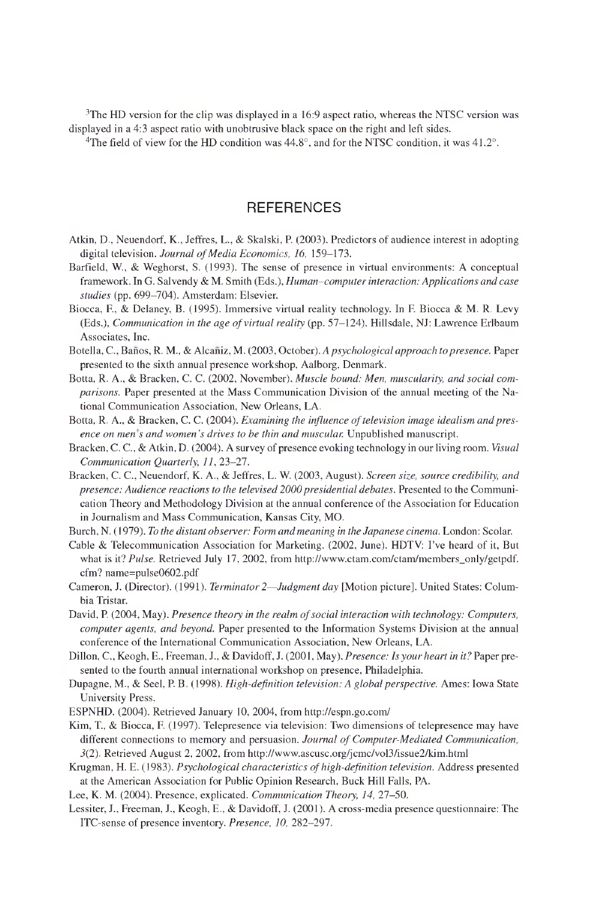<sup>3</sup>The HD version for the clip was displayed in a 16:9 aspect ratio, whereas the NTSC version was displayed in a 4:3 aspect ratio with unobtrusive black space on the right and left sides.

<sup>4</sup>The field of view for the HD condition was  $44.8^\circ$ , and for the NTSC condition, it was  $41.2^\circ$ .

#### **REFERENCES**

- Atkin, D., Neuendorf, K., Jeffres, L., & Skalski, P. (2003). Predictors of audience interest in adopting digital television. *Journal ofMedia Economics, 16,* 159-173.
- Barfield, W., & Weghorst, S. (1993). The sense of presence in virtual environments: A conceptual framework. In G. Salvendy & M. Smith (Eds.), *Human-computerinteraction: Applications and case studies* (pp. 699-704). Amsterdam: Elsevier.
- Biocca, F., & Delaney, B. (1995). Immersive virtual reality technology. In E Biocca & M. R. Levy (Eds.), *Communication in the age ofvirtual reality* (pp. 57-124). Hillsdale, NJ: Lawrence Erlbaum Associates, Inc.
- Botella, C., Banos, R. M., & Alcaniz, M. (2003, October).*Apsychologicalapproach topresence.* Paper presented to the sixth annual presence workshop, Aalborg, Denmark.
- Botta, R. A., & Bracken, C. C. (2002, November). *Muscle bound: Men, muscularity, and social comparisons.* Paper presented at the Mass Communication Division of the annual meeting of the National Communication Association, New Orleans, LA.
- Botta, R. A., & Bracken, C. C. (2004). *Examining the influence oftelevision image idealism andpresence on mens and women's drives to be thin and muscular.* Unpublished manuscript.
- Bracken, C. C., & Atkin, D. (2004). A survey of presence evoking technology in our living room. *Visual Communication Quarterly, 11,* 23-27.
- Bracken, C. C., Neuendorf, K. A., & Jeffres, L. W. (2003, August). *Screen size, source credibility, and presence: Audience reactions to the televised 2000presidential debates.* Presented to the Communication Theory and Methodology Division at the annual conference ofthe Association for Education in Journalism and Mass Communication, Kansas City, MO.

Burch, N. (1979). *To the distant observer: Form andmeaning in the Japanese cinema.* London: Scolar.

- Cable & Telecommunication Association for Marketing. (2002, June). HDTV: I've heard of it, But what is it? *Pulse.* Retrieved July 17, 2002, from [http://www.ctam.com/ctam/members\\_only/getpdf](http://www.ctam.com/ctam/members_only/getpdf). cfm? name=pulse0602.pdf
- Cameron, J. (Director). (1991). *Terminator 2—Judgment day* [Motion picture]. United States: Columbia Tristar.
- David, P. (2004, May). *Presence theory in the realm ofsocial interaction with technology: Computers, computer agents, and beyond.* Paper presented to the Information Systems Division at the annual conference of the International Communication Association, New Orleans, LA.
- Dillon, C., Keogh, E., Freeman, J., & Davidoff, J. (2001, May). *Presence: Is yourheart in it?* Paper presented to the fourth annual international workshop on presence, Philadelphia.
- Dupagne, M., & Seel, P. B. (1998). *High-definition television: A globalperspective.* Ames: Iowa State University Press.
- ESPNHD. (2004). Retrieved January 10, 2004, from <http://espn.go.com/>
- Kim, T., & Biocca, F. (1997). Telepresence via television: Two dimensions of telepresence may have different connections to memory and persuasion. *Journal ofComputer-Mediated Communication,* 3(2). Retrieved August 2, 2002, from <http://www.ascusc.org/jcmc/vol3/issue2/kim.html>
- Krugman, H. E. (1983). *Psychological characteristics ofhigh-definition television.* Address presented at the American Association for Public Opinion Research, Buck Hill Falls, PA.
- Lee, K. M. (2004). Presence, explicated. *Communication Theory, 14,* 27-50.
- Lessiter, J., Freeman, J., Keogh, E., & Davidoff, J. (2001). A cross-media presence questionnaire: The ITC-sense of presence inventory. *Presence, 10,* 282-297.